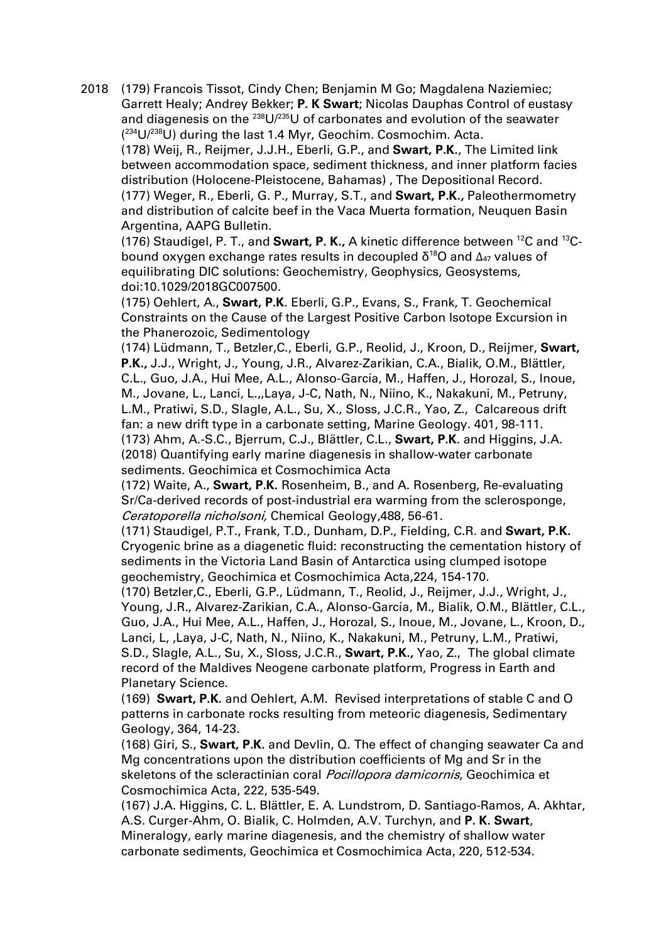2018 (179) Francois Tissot, Cindy Chen; Benjamin M Go; Magdalena Naziemiec; Garrett Healy; Andrey Bekker; **P. K Swart**; Nicolas Dauphas Control of eustasy and diagenesis on the  $^{238}U/^{235}U$  of carbonates and evolution of the seawater ( 234U/238U) during the last 1.4 Myr, Geochim. Cosmochim. Acta. (178) Weij, R., Reijmer, J.J.H., Eberli, G.P., and **Swart, P.K.**, The Limited link between accommodation space, sediment thickness, and inner platform facies distribution (Holocene-Pleistocene, Bahamas) , The Depositional Record. (177) Weger, R., Eberli, G. P., Murray, S.T., and **Swart, P.K.,** Paleothermometry and distribution of calcite beef in the Vaca Muerta formation, Neuquen Basin Argentina, AAPG Bulletin.

(176) Staudigel, P. T., and **Swart, P. K.,** A kinetic difference between 12C and 13Cbound oxygen exchange rates results in decoupled  $δ^{18}$ O and  $Δ_{47}$  values of equilibrating DIC solutions: Geochemistry, Geophysics, Geosystems, doi:10.1029/2018GC007500.

(175) Oehlert, A., **Swart, P.K**. Eberli, G.P., Evans, S., Frank, T. Geochemical Constraints on the Cause of the Largest Positive Carbon Isotope Excursion in the Phanerozoic, Sedimentology

(174) Lüdmann, T., Betzler,C., Eberli, G.P., Reolid, J., Kroon, D., Reijmer, **Swart, P.K.,** J.J., Wright, J., Young, J.R., Alvarez-Zarikian, C.A., Bialik, O.M., Blättler, C.L., Guo, J.A., Hui Mee, A.L., Alonso-García, M., Haffen, J., Horozal, S., Inoue, M., Jovane, L., Lanci, L.,,Laya, J-C, Nath, N., Niino, K., Nakakuni, M., Petruny, L.M., Pratiwi, S.D., Slagle, A.L., Su, X., Sloss, J.C.R., Yao, Z., Calcareous drift fan: a new drift type in a carbonate setting, Marine Geology. 401, 98-111. (173) Ahm, A.-S.C., Bjerrum, C.J., Blättler, C.L., **Swart, P.K**. and Higgins, J.A. (2018) Quantifying early marine diagenesis in shallow-water carbonate sediments. Geochimica et Cosmochimica Acta

(172) Waite, A., **Swart, P.K.** Rosenheim, B., and A. Rosenberg, Re-evaluating Sr/Ca-derived records of post-industrial era warming from the sclerosponge, Ceratoporella nicholsoni, Chemical Geology,488, 56-61.

(171) Staudigel, P.T., Frank, T.D., Dunham, D.P., Fielding, C.R. and **Swart, P.K.** Cryogenic brine as a diagenetic fluid: reconstructing the cementation history of sediments in the Victoria Land Basin of Antarctica using clumped isotope geochemistry, Geochimica et Cosmochimica Acta,224, 154-170.

(170) Betzler,C., Eberli, G.P., Lüdmann, T., Reolid, J., Reijmer, J.J., Wright, J., Young, J.R., Alvarez-Zarikian, C.A., Alonso-García, M., Bialik, O.M., Blättler, C.L., Guo, J.A., Hui Mee, A.L., Haffen, J., Horozal, S., Inoue, M., Jovane, L., Kroon, D., Lanci, L, ,Laya, J-C, Nath, N., Niino, K., Nakakuni, M., Petruny, L.M., Pratiwi, S.D., Slagle, A.L., Su, X., Sloss, J.C.R., **Swart, P.K.,** Yao, Z., The global climate record of the Maldives Neogene carbonate platform, Progress in Earth and Planetary Science.

(169) **Swart, P.K.** and Oehlert, A.M. Revised interpretations of stable C and O patterns in carbonate rocks resulting from meteoric diagenesis, Sedimentary Geology, 364, 14-23.

(168) Giri, S., **Swart, P.K.** and Devlin, Q. The effect of changing seawater Ca and Mg concentrations upon the distribution coefficients of Mg and Sr in the skeletons of the scleractinian coral *Pocillopora damicornis*, Geochimica et Cosmochimica Acta, 222, 535-549.

(167) J.A. Higgins, C. L. Blättler, E. A. Lundstrom, D. Santiago-Ramos, A. Akhtar, A.S. Curger-Ahm, O. Bialik, C. Holmden, A.V. Turchyn, and **P. K. Swart**, Mineralogy, early marine diagenesis, and the chemistry of shallow water carbonate sediments, Geochimica et Cosmochimica Acta, 220, 512-534.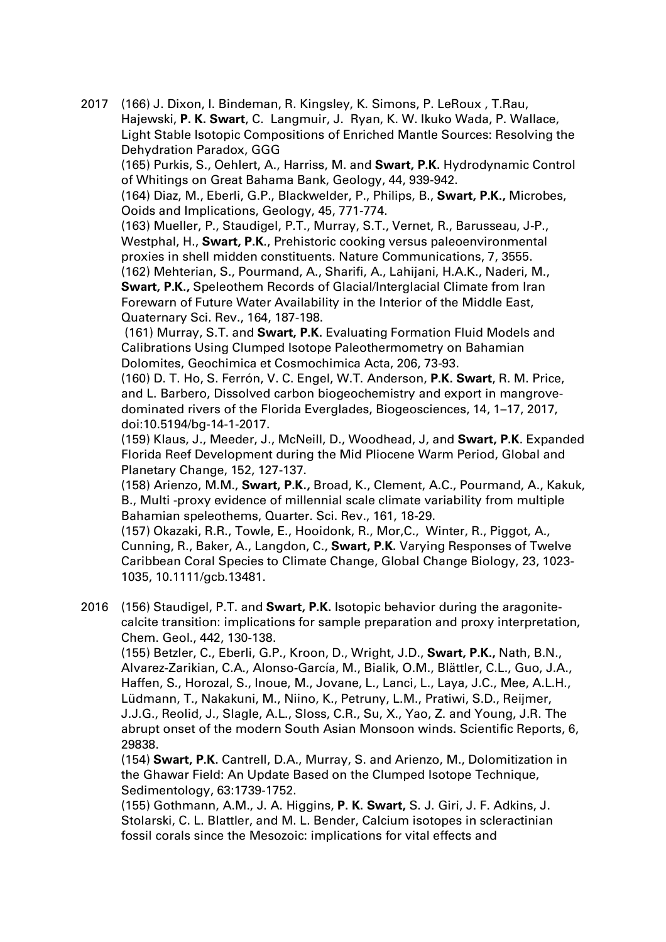2017 (166) J. Dixon, I. Bindeman, R. Kingsley, K. Simons, P. LeRoux , T.Rau, Hajewski, **P. K. Swart**, C. Langmuir, J. Ryan, K. W. Ikuko Wada, P. Wallace, Light Stable Isotopic Compositions of Enriched Mantle Sources: Resolving the Dehydration Paradox, GGG

(165) Purkis, S., Oehlert, A., Harriss, M. and **Swart, P.K.** Hydrodynamic Control of Whitings on Great Bahama Bank, Geology, 44, 939-942.

(164) Diaz, M., Eberli, G.P., Blackwelder, P., Philips, B., **Swart, P.K.,** Microbes, Ooids and Implications, Geology, 45, 771-774.

(163) Mueller, P., Staudigel, P.T., Murray, S.T., Vernet, R., Barusseau, J-P., Westphal, H., **Swart, P.K**., Prehistoric cooking versus paleoenvironmental proxies in shell midden constituents. Nature Communications, 7, 3555.

(162) Mehterian, S., Pourmand, A., Sharifi, A., Lahijani, H.A.K., Naderi, M., **Swart, P.K.,** Speleothem Records of Glacial/Interglacial Climate from Iran Forewarn of Future Water Availability in the Interior of the Middle East, Quaternary Sci. Rev., 164, 187-198.

(161) Murray, S.T. and **Swart, P.K.** Evaluating Formation Fluid Models and Calibrations Using Clumped Isotope Paleothermometry on Bahamian Dolomites, Geochimica et Cosmochimica Acta, 206, 73-93.

(160) D. T. Ho, S. Ferrón, V. C. Engel, W.T. Anderson, **P.K. Swart**, R. M. Price, and L. Barbero, Dissolved carbon biogeochemistry and export in mangrovedominated rivers of the Florida Everglades, Biogeosciences, 14, 1–17, 2017, doi:10.5194/bg-14-1-2017.

(159) Klaus, J., Meeder, J., McNeill, D., Woodhead, J, and **Swart, P.K**. Expanded Florida Reef Development during the Mid Pliocene Warm Period, Global and Planetary Change, 152, 127-137.

(158) Arienzo, M.M., **Swart, P.K.,** Broad, K., Clement, A.C., Pourmand, A., Kakuk, B., Multi -proxy evidence of millennial scale climate variability from multiple Bahamian speleothems, Quarter. Sci. Rev., 161, 18-29.

(157) Okazaki, R.R., Towle, E., Hooidonk, R., Mor,C., Winter, R., Piggot, A., Cunning, R., Baker, A., Langdon, C., **Swart, P.K.** Varying Responses of Twelve Caribbean Coral Species to Climate Change, Global Change Biology, 23, 1023- 1035, 10.1111/gcb.13481.

2016 (156) Staudigel, P.T. and **Swart, P.K.** Isotopic behavior during the aragonitecalcite transition: implications for sample preparation and proxy interpretation, Chem. Geol., 442, 130-138.

(155) Betzler, C., Eberli, G.P., Kroon, D., Wright, J.D., **Swart, P.K.,** Nath, B.N., Alvarez-Zarikian, C.A., Alonso-García, M., Bialik, O.M., Blättler, C.L., Guo, J.A., Haffen, S., Horozal, S., Inoue, M., Jovane, L., Lanci, L., Laya, J.C., Mee, A.L.H., Lüdmann, T., Nakakuni, M., Niino, K., Petruny, L.M., Pratiwi, S.D., Reijmer, J.J.G., Reolid, J., Slagle, A.L., Sloss, C.R., Su, X., Yao, Z. and Young, J.R. The abrupt onset of the modern South Asian Monsoon winds. Scientific Reports, 6, 29838.

(154) **Swart, P.K.** Cantrell, D.A., Murray, S. and Arienzo, M., Dolomitization in the Ghawar Field: An Update Based on the Clumped Isotope Technique, Sedimentology, 63:1739-1752.

(155) Gothmann, A.M., J. A. Higgins, **P. K. Swart,** S. J. Giri, J. F. Adkins, J. Stolarski, C. L. Blattler, and M. L. Bender, Calcium isotopes in scleractinian fossil corals since the Mesozoic: implications for vital effects and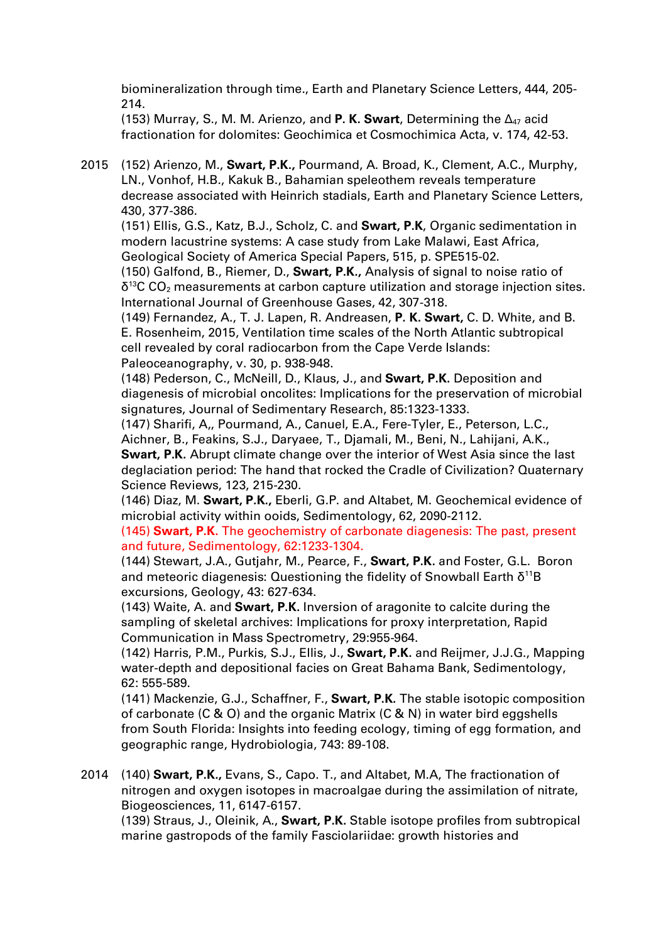biomineralization through time., Earth and Planetary Science Letters, 444, 205- 214.

(153) Murray, S., M. M. Arienzo, and **P. K. Swart**, Determining the Δ47 acid fractionation for dolomites: Geochimica et Cosmochimica Acta, v. 174, 42-53.

2015 (152) Arienzo, M., **Swart, P.K.,** Pourmand, A. Broad, K., Clement, A.C., Murphy, LN., Vonhof, H.B., Kakuk B., Bahamian speleothem reveals temperature decrease associated with Heinrich stadials, Earth and Planetary Science Letters, 430, 377-386.

(151) Ellis, G.S., Katz, B.J., Scholz, C. and **Swart, P.K**, Organic sedimentation in modern lacustrine systems: A case study from Lake Malawi, East Africa, Geological Society of America Special Papers, 515, p. SPE515-02.

(150) Galfond, B., Riemer, D., **Swart, P.K.,** Analysis of signal to noise ratio of  $\delta^{13}$ C CO<sub>2</sub> measurements at carbon capture utilization and storage injection sites. International Journal of Greenhouse Gases, 42, 307-318.

(149) Fernandez, A., T. J. Lapen, R. Andreasen, **P. K. Swart,** C. D. White, and B. E. Rosenheim, 2015, Ventilation time scales of the North Atlantic subtropical cell revealed by coral radiocarbon from the Cape Verde Islands: Paleoceanography, v. 30, p. 938-948.

(148) Pederson, C., McNeill, D., Klaus, J., and **Swart, P.K.** Deposition and diagenesis of microbial oncolites: Implications for the preservation of microbial signatures, Journal of Sedimentary Research, 85:1323-1333.

(147) Sharifi, A,, Pourmand, A., Canuel, E.A., Fere-Tyler, E., Peterson, L.C., Aichner, B., Feakins, S.J., Daryaee, T., Djamali, M., Beni, N., Lahijani, A.K., **Swart, P.K.** Abrupt climate change over the interior of West Asia since the last deglaciation period: The hand that rocked the Cradle of Civilization? Quaternary Science Reviews, 123, 215-230.

(146) Diaz, M. **Swart, P.K.,** Eberli, G.P. and Altabet, M. Geochemical evidence of microbial activity within ooids, Sedimentology, 62, 2090-2112.

(145) **Swart, P.K.** The geochemistry of carbonate diagenesis: The past, present and future, Sedimentology, 62:1233-1304.

(144) Stewart, J.A., Gutjahr, M., Pearce, F., **Swart, P.K.** and Foster, G.L. Boron and meteoric diagenesis: Questioning the fidelity of Snowball Earth δ<sup>11</sup>B excursions, Geology, 43: 627-634.

(143) Waite, A. and **Swart, P.K.** Inversion of aragonite to calcite during the sampling of skeletal archives: Implications for proxy interpretation, Rapid Communication in Mass Spectrometry, 29:955-964.

(142) Harris, P.M., Purkis, S.J., Ellis, J., **Swart, P.K.** and Reijmer, J.J.G., Mapping water-depth and depositional facies on Great Bahama Bank, Sedimentology, 62: 555-589.

(141) Mackenzie, G.J., Schaffner, F., **Swart, P.K.** The stable isotopic composition of carbonate (C & O) and the organic Matrix (C & N) in water bird eggshells from South Florida: Insights into feeding ecology, timing of egg formation, and geographic range, Hydrobiologia, 743: 89-108.

2014 (140) **Swart, P.K.,** Evans, S., Capo. T., and Altabet, M.A, The fractionation of nitrogen and oxygen isotopes in macroalgae during the assimilation of nitrate, Biogeosciences, 11, 6147-6157.

(139) Straus, J., Oleinik, A., **Swart, P.K.** Stable isotope profiles from subtropical marine gastropods of the family Fasciolariidae: growth histories and